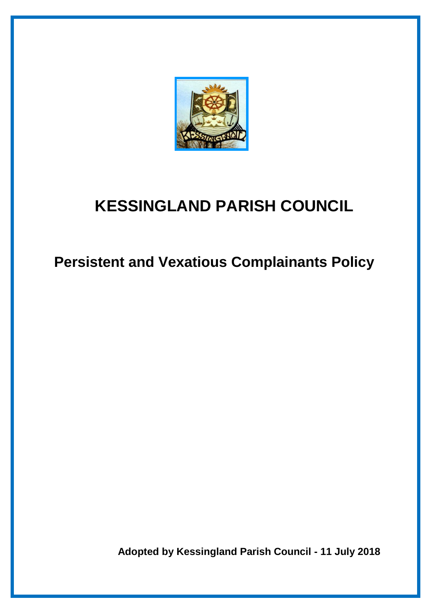

# **KESSINGLAND PARISH COUNCIL**

 **Persistent and Vexatious Complainants Policy**

 **Adopted by Kessingland Parish Council - 11 July 2018**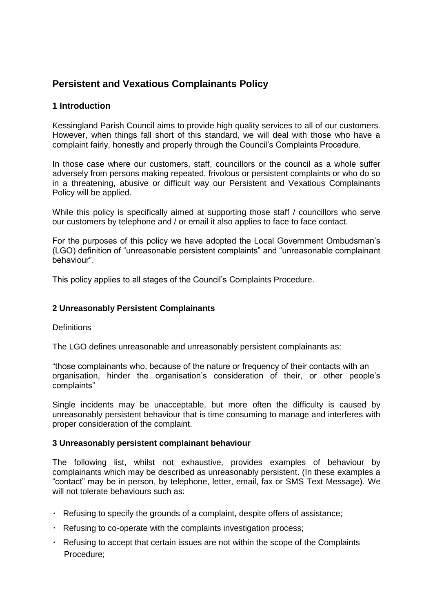# **Persistent and Vexatious Complainants Policy**

# **1 Introduction**

Kessingland Parish Council aims to provide high quality services to all of our customers. However, when things fall short of this standard, we will deal with those who have a complaint fairly, honestly and properly through the Council's Complaints Procedure.

In those case where our customers, staff, councillors or the council as a whole suffer adversely from persons making repeated, frivolous or persistent complaints or who do so in a threatening, abusive or difficult way our Persistent and Vexatious Complainants Policy will be applied.

While this policy is specifically aimed at supporting those staff / councillors who serve our customers by telephone and / or email it also applies to face to face contact.

For the purposes of this policy we have adopted the Local Government Ombudsman's (LGO) definition of "unreasonable persistent complaints" and "unreasonable complainant behaviour".

This policy applies to all stages of the Council's Complaints Procedure.

### **2 Unreasonably Persistent Complainants**

**Definitions** 

The LGO defines unreasonable and unreasonably persistent complainants as:

"those complainants who, because of the nature or frequency of their contacts with an organisation, hinder the organisation's consideration of their, or other people's complaints"

Single incidents may be unacceptable, but more often the difficulty is caused by unreasonably persistent behaviour that is time consuming to manage and interferes with proper consideration of the complaint.

#### **3 Unreasonably persistent complainant behaviour**

The following list, whilst not exhaustive, provides examples of behaviour by complainants which may be described as unreasonably persistent. (In these examples a "contact" may be in person, by telephone, letter, email, fax or SMS Text Message). We will not tolerate behaviours such as:

- $\cdot$  Refusing to specify the grounds of a complaint, despite offers of assistance;
- Refusing to co-operate with the complaints investigation process;
- $\cdot$  Refusing to accept that certain issues are not within the scope of the Complaints Procedure;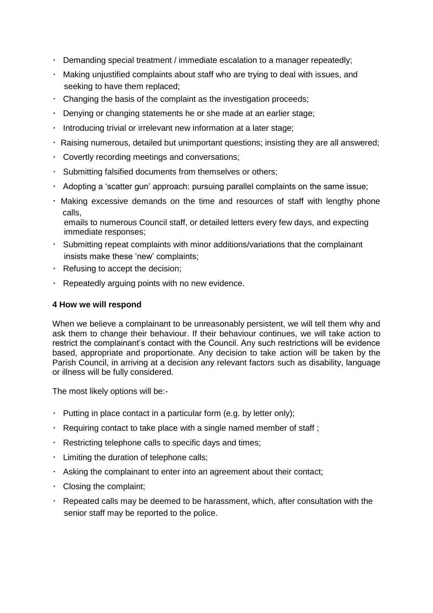- Demanding special treatment / immediate escalation to a manager repeatedly;
- Making unjustified complaints about staff who are trying to deal with issues, and seeking to have them replaced;
- $\cdot$  Changing the basis of the complaint as the investigation proceeds;
- Denying or changing statements he or she made at an earlier stage;
- $\cdot$  Introducing trivial or irrelevant new information at a later stage;
- Raising numerous, detailed but unimportant questions; insisting they are all answered;
- Covertly recording meetings and conversations;
- Submitting falsified documents from themselves or others;
- $\cdot$  Adopting a 'scatter gun' approach: pursuing parallel complaints on the same issue;
- Making excessive demands on the time and resources of staff with lengthy phone calls,

 emails to numerous Council staff, or detailed letters every few days, and expecting immediate responses;

- Submitting repeat complaints with minor additions/variations that the complainant insists make these 'new' complaints;
- $\cdot$  Refusing to accept the decision;
- $\cdot$  Repeatedly arguing points with no new evidence.

# **4 How we will respond**

When we believe a complainant to be unreasonably persistent, we will tell them why and ask them to change their behaviour. If their behaviour continues, we will take action to restrict the complainant's contact with the Council. Any such restrictions will be evidence based, appropriate and proportionate. Any decision to take action will be taken by the Parish Council, in arriving at a decision any relevant factors such as disability, language or illness will be fully considered.

The most likely options will be:-

- $\cdot$  Putting in place contact in a particular form (e.g. by letter only);
- $\cdot$  Requiring contact to take place with a single named member of staff ;
- Restricting telephone calls to specific days and times;
- $\cdot$  Limiting the duration of telephone calls;
- Asking the complainant to enter into an agreement about their contact;
- Closing the complaint;
- $\cdot$  Repeated calls may be deemed to be harassment, which, after consultation with the senior staff may be reported to the police.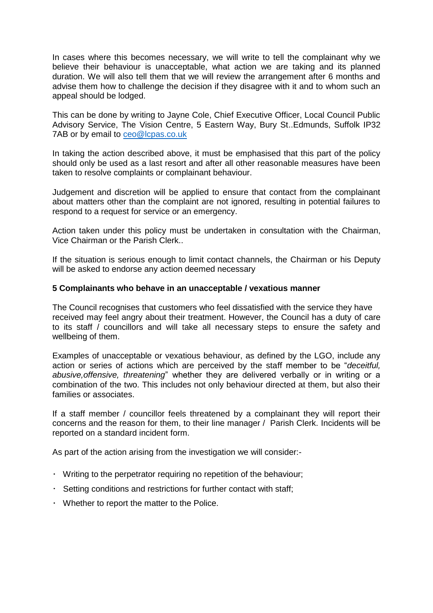In cases where this becomes necessary, we will write to tell the complainant why we believe their behaviour is unacceptable, what action we are taking and its planned duration. We will also tell them that we will review the arrangement after 6 months and advise them how to challenge the decision if they disagree with it and to whom such an appeal should be lodged.

This can be done by writing to Jayne Cole, Chief Executive Officer, Local Council Public Advisory Service, The Vision Centre, 5 Eastern Way, Bury St..Edmunds, Suffolk IP32 7AB or by email to [ceo@lcpas.co.uk](mailto:ceo@lcpas.co.uk)

In taking the action described above, it must be emphasised that this part of the policy should only be used as a last resort and after all other reasonable measures have been taken to resolve complaints or complainant behaviour.

Judgement and discretion will be applied to ensure that contact from the complainant about matters other than the complaint are not ignored, resulting in potential failures to respond to a request for service or an emergency.

Action taken under this policy must be undertaken in consultation with the Chairman, Vice Chairman or the Parish Clerk..

If the situation is serious enough to limit contact channels, the Chairman or his Deputy will be asked to endorse any action deemed necessary

#### **5 Complainants who behave in an unacceptable / vexatious manner**

The Council recognises that customers who feel dissatisfied with the service they have received may feel angry about their treatment. However, the Council has a duty of care to its staff / councillors and will take all necessary steps to ensure the safety and wellbeing of them.

Examples of unacceptable or vexatious behaviour, as defined by the LGO, include any action or series of actions which are perceived by the staff member to be "*deceitful, abusive,offensive, threatening*" whether they are delivered verbally or in writing or a combination of the two. This includes not only behaviour directed at them, but also their families or associates.

If a staff member / councillor feels threatened by a complainant they will report their concerns and the reason for them, to their line manager / Parish Clerk. Incidents will be reported on a standard incident form.

As part of the action arising from the investigation we will consider:-

- Writing to the perpetrator requiring no repetition of the behaviour;
- $\cdot$  Setting conditions and restrictions for further contact with staff;
- Whether to report the matter to the Police.